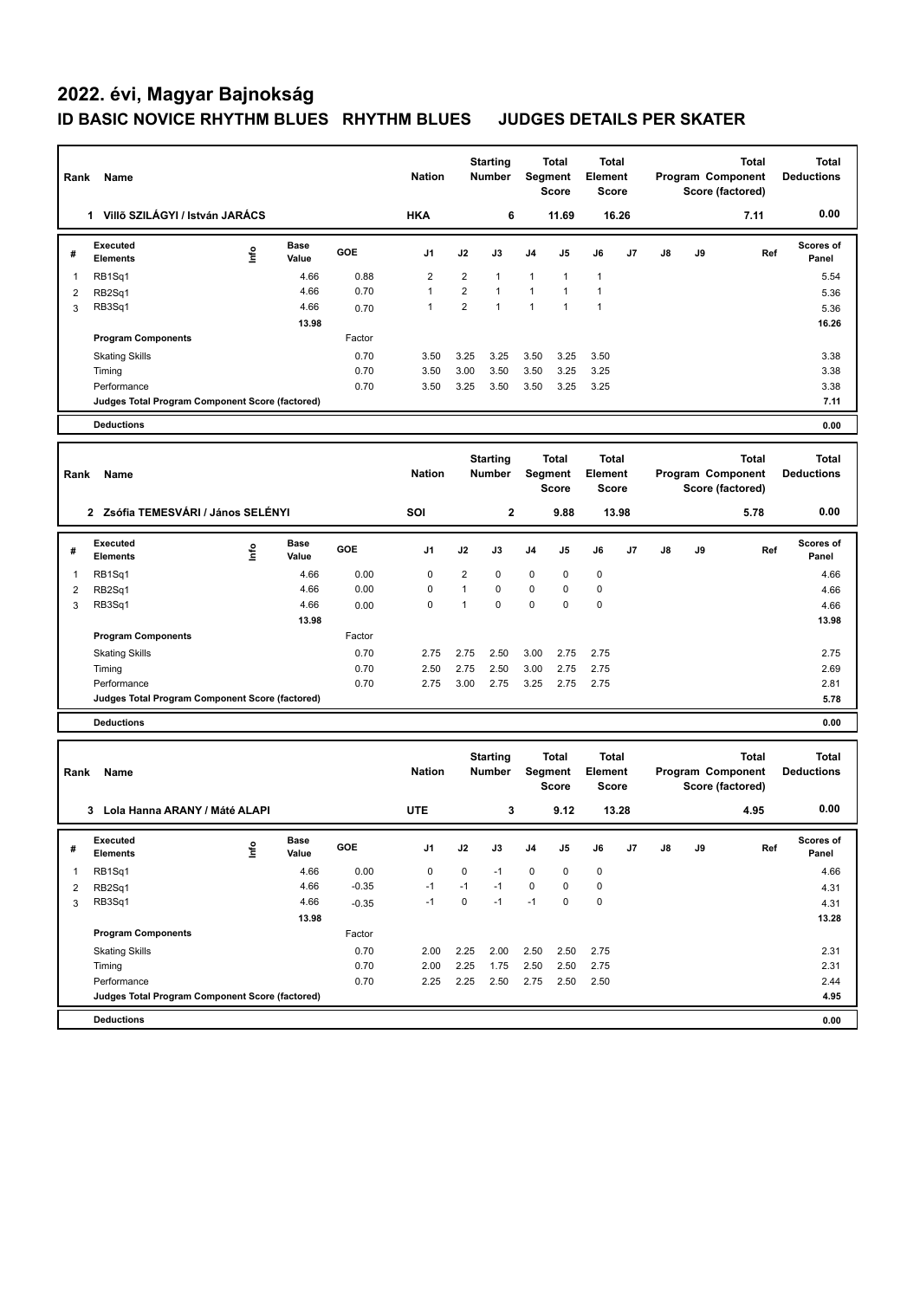## **2022. évi, Magyar Bajnokság ID BASIC NOVICE RHYTHM BLUES RHYTHM BLUES JUDGES DETAILS PER SKATER**

| Rank           | Name                                            |                      | <b>Nation</b>                                     | <b>Starting</b><br><b>Number</b> |                                         |                | <b>Total</b><br>Segment<br>Score               | <b>Total</b><br>Element<br><b>Score</b> |                                                       | Total<br>Program Component<br>Score (factored) |               |                                   | <b>Total</b><br><b>Deductions</b> |                           |
|----------------|-------------------------------------------------|----------------------|---------------------------------------------------|----------------------------------|-----------------------------------------|----------------|------------------------------------------------|-----------------------------------------|-------------------------------------------------------|------------------------------------------------|---------------|-----------------------------------|-----------------------------------|---------------------------|
|                | 1 Villő SZILÁGYI / István JARÁCS                |                      |                                                   | <b>HKA</b>                       |                                         | 6              |                                                | 11.69                                   | 16.26                                                 |                                                |               |                                   | 7.11                              | 0.00                      |
| #              | <b>Executed</b><br>١nf٥<br><b>Elements</b>      | <b>Base</b><br>Value | GOE                                               | J1                               | J2                                      | J3             | J4                                             | J5                                      | J6                                                    | J7                                             | $\mathsf{J}8$ | J9                                | Ref                               | Scores of<br>Panel        |
| -1             | RB1Sq1                                          | 4.66                 | 0.88                                              | 2                                | $\overline{2}$                          | $\mathbf{1}$   | 1                                              | 1                                       | $\mathbf{1}$                                          |                                                |               |                                   |                                   | 5.54                      |
| $\overline{2}$ | RB2Sq1                                          | 4.66                 | 0.70                                              | $\mathbf{1}$                     | $\overline{2}$                          | $\overline{1}$ | 1                                              | 1                                       | $\overline{1}$                                        |                                                |               |                                   |                                   | 5.36                      |
| 3              | RB3Sq1                                          | 4.66                 | 0.70                                              | $\mathbf{1}$                     | $\overline{2}$                          | $\overline{1}$ | $\mathbf{1}$                                   | $\mathbf{1}$                            | $\overline{1}$                                        |                                                |               |                                   |                                   | 5.36                      |
|                |                                                 | 13.98                |                                                   |                                  |                                         |                |                                                |                                         |                                                       |                                                |               |                                   |                                   | 16.26                     |
|                | <b>Program Components</b>                       |                      | Factor                                            |                                  |                                         |                |                                                |                                         |                                                       |                                                |               |                                   |                                   |                           |
|                | <b>Skating Skills</b>                           |                      | 0.70                                              | 3.50                             | 3.25                                    | 3.25           | 3.50                                           | 3.25                                    | 3.50                                                  |                                                |               |                                   |                                   | 3.38                      |
|                | Timing                                          |                      | 0.70                                              | 3.50                             | 3.00                                    | 3.50           | 3.50                                           | 3.25                                    | 3.25                                                  |                                                |               |                                   |                                   | 3.38                      |
|                | Performance                                     |                      | 0.70                                              | 3.50                             | 3.25                                    | 3.50           | 3.50                                           | 3.25                                    | 3.25                                                  |                                                |               |                                   |                                   | 3.38                      |
|                | Judges Total Program Component Score (factored) |                      |                                                   |                                  |                                         |                |                                                |                                         |                                                       |                                                |               |                                   |                                   | 7.11                      |
|                | <b>Deductions</b>                               |                      |                                                   |                                  |                                         |                |                                                |                                         |                                                       |                                                |               |                                   |                                   | 0.00                      |
| Rank           | Name                                            |                      | <b>Starting</b><br><b>Nation</b><br><b>Number</b> |                                  | <b>Total</b><br>Segment<br><b>Score</b> |                | <b>Total</b><br><b>Element</b><br><b>Score</b> |                                         | <b>Total</b><br>Program Component<br>Score (factored) |                                                |               | <b>Total</b><br><b>Deductions</b> |                                   |                           |
|                | 2 Zsófia TEMESVÁRI / János SELÉNYI              |                      |                                                   | SOI                              |                                         | $\mathbf 2$    |                                                | 9.88                                    | 13.98                                                 |                                                |               |                                   | 5.78                              | 0.00                      |
| #              | <b>Executed</b><br>Info<br><b>Elements</b>      | <b>Base</b><br>Value | GOE                                               | J1                               | J2                                      | J3             | J4                                             | J5                                      | J6                                                    | J7                                             | J8            | J9                                | Ref                               | <b>Scores of</b><br>Panel |
| 1              | RB1Sq1                                          | 4.66                 | 0.00                                              | $\mathbf 0$                      | $\overline{2}$                          | 0              | $\pmb{0}$                                      | 0                                       | $\mathbf 0$                                           |                                                |               |                                   |                                   | 4.66                      |
| $\overline{2}$ | RB2Sq1                                          | 4.66                 | 0.00                                              | 0                                | $\mathbf{1}$                            | 0              | 0                                              | 0                                       | $\mathbf 0$                                           |                                                |               |                                   |                                   | 4.66                      |
| 3              | RB3Sq1                                          | 4.66                 | 0.00                                              | 0                                | $\mathbf{1}$                            | $\mathbf 0$    | 0                                              | 0                                       | $\mathbf 0$                                           |                                                |               |                                   |                                   | 4.66                      |
|                |                                                 | 13.98                |                                                   |                                  |                                         |                |                                                |                                         |                                                       |                                                |               |                                   |                                   | 13.98                     |
|                | <b>Program Components</b>                       |                      | Factor                                            |                                  |                                         |                |                                                |                                         |                                                       |                                                |               |                                   |                                   |                           |
|                | <b>Skating Skills</b>                           |                      | 0.70                                              | 2.75                             | 2.75                                    | 2.50           | 3.00                                           | 2.75                                    | 2.75                                                  |                                                |               |                                   |                                   | 2.75                      |
|                | Timing                                          |                      | 0.70                                              | 2.50                             | 2.75                                    | 2.50           | 3.00                                           | 2.75                                    | 2.75                                                  |                                                |               |                                   |                                   | 2.69                      |
|                | Performance                                     |                      | 0.70                                              | 2.75                             | 3.00                                    | 2.75           | 3.25                                           | 2.75                                    | 2.75                                                  |                                                |               |                                   |                                   | 2.81                      |
|                | Judges Total Program Component Score (factored) |                      |                                                   |                                  |                                         |                |                                                |                                         |                                                       |                                                |               |                                   |                                   | 5.78                      |
|                | <b>Deductions</b>                               |                      |                                                   |                                  |                                         |                |                                                |                                         |                                                       |                                                |               |                                   |                                   | 0.00                      |
| Rank           | Name                                            |                      | <b>Starting</b><br><b>Nation</b><br><b>Number</b> |                                  | <b>Total</b><br>Segment<br><b>Score</b> |                | <b>Total</b><br>Element<br><b>Score</b>        |                                         | <b>Total</b><br>Program Component<br>Score (factored) |                                                |               | <b>Total</b><br><b>Deductions</b> |                                   |                           |
|                | 3 Lola Hanna ARANY / Máté ALAPI                 |                      |                                                   | <b>UTE</b>                       |                                         | 3              |                                                | 9.12                                    | 13.28                                                 |                                                |               |                                   | 4.95                              | 0.00                      |
| #              | Executed<br>Info<br><b>Elements</b>             | Base<br>Value        | GOE                                               | J1                               | J2                                      | J3             | J4                                             | J5                                      | J6                                                    | J7                                             | J8            | J9                                | Ref                               | Scores of<br>Panel        |
| $\mathbf{1}$   | RB1Sq1                                          | 4.66                 | 0.00                                              | 0                                | 0                                       | $-1$           | 0                                              | 0                                       | 0                                                     |                                                |               |                                   |                                   | 4.66                      |
| $\overline{2}$ | RB2Sq1                                          | 4.66                 | $-0.35$                                           | $-1$                             | $-1$                                    | $-1$           | 0                                              | 0                                       | $\pmb{0}$                                             |                                                |               |                                   |                                   | 4.31                      |
| 3              | RB3Sq1                                          | 4.66                 | $-0.35$                                           | $-1$                             | $\mathbf 0$                             | $-1$           | $-1$                                           | 0                                       | $\pmb{0}$                                             |                                                |               |                                   |                                   | 4.31                      |
|                |                                                 | 13.98                |                                                   |                                  |                                         |                |                                                |                                         |                                                       |                                                |               |                                   |                                   | 13.28                     |
|                | <b>Program Components</b>                       |                      | Factor                                            |                                  |                                         |                |                                                |                                         |                                                       |                                                |               |                                   |                                   |                           |
|                | <b>Skating Skills</b>                           |                      | 0.70                                              | 2.00                             | 2.25                                    | 2.00           | 2.50                                           | 2.50                                    | 2.75                                                  |                                                |               |                                   |                                   | 2.31                      |
|                | Timing                                          |                      | 0.70                                              | 2.00                             | 2.25                                    | 1.75           | 2.50                                           | 2.50                                    | 2.75                                                  |                                                |               |                                   |                                   | 2.31                      |
|                | Performance                                     |                      | 0.70                                              | 2.25                             | 2.25                                    | 2.50           | 2.75                                           | 2.50                                    | 2.50                                                  |                                                |               |                                   |                                   | 2.44                      |
|                | Judges Total Program Component Score (factored) |                      |                                                   |                                  |                                         |                |                                                |                                         |                                                       |                                                |               |                                   |                                   | 4.95                      |
|                | <b>Deductions</b>                               |                      |                                                   |                                  |                                         |                |                                                |                                         |                                                       |                                                |               |                                   |                                   | 0.00                      |